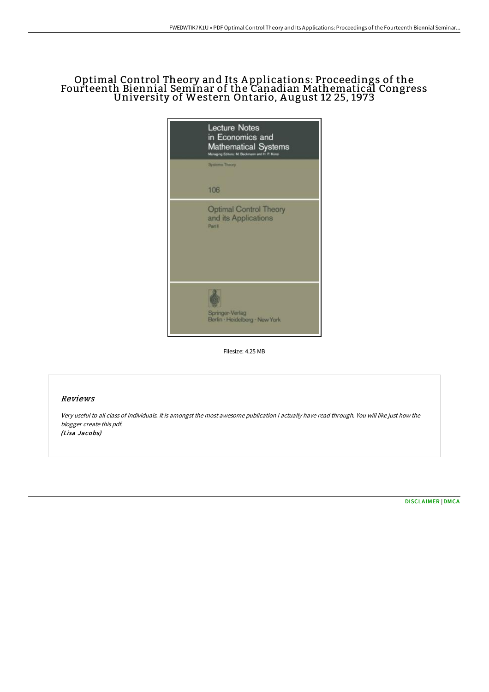# Optimal Control Theory and Its A pplications: Proceedings of the Fourteenth Biennial Seminar of the Canadian Mathematical Congress University of Western Ontario, A ugust 12 25, 1973



Filesize: 4.25 MB

## Reviews

Very useful to all class of individuals. It is amongst the most awesome publication i actually have read through. You will like just how the blogger create this pdf. (Lisa Jacobs)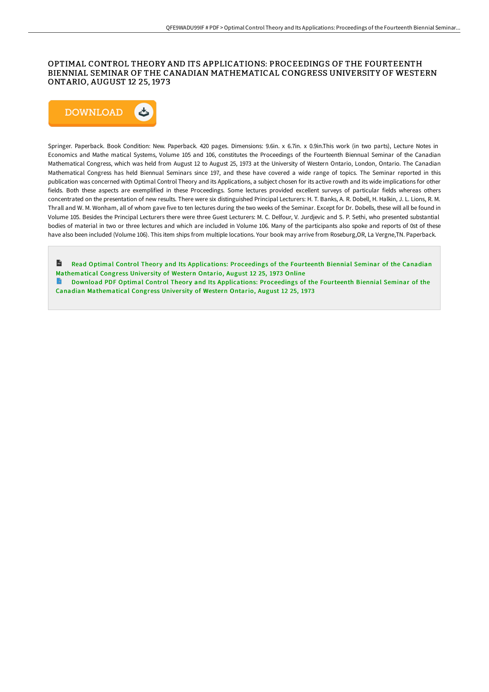#### OPTIMAL CONTROL THEORY AND ITS APPLICATIONS: PROCEEDINGS OF THE FOURTEENTH BIENNIAL SEMINAR OF THE CANADIAN MATHEMATICAL CONGRESS UNIVERSITY OF WESTERN ONTARIO, AUGUST 12 25, 1973



Springer. Paperback. Book Condition: New. Paperback. 420 pages. Dimensions: 9.6in. x 6.7in. x 0.9in.This work (in two parts), Lecture Notes in Economics and Mathe matical Systems, Volume 105 and 106, constitutes the Proceedings of the Fourteenth Biennual Seminar of the Canadian Mathematical Congress, which was held from August 12 to August 25, 1973 at the University of Western Ontario, London, Ontario. The Canadian Mathematical Congress has held Biennual Seminars since 197, and these have covered a wide range of topics. The Seminar reported in this publication was concerned with Optimal Control Theory and its Applications, a subject chosen for its active rowth and its wide implications for other fields. Both these aspects are exemplified in these Proceedings. Some lectures provided excellent surveys of particular fields whereas others concentrated on the presentation of new results. There were six distinguished Principal Lecturers: H. T. Banks, A. R. Dobell, H. Halkin, J. L. Lions, R. M. Thrall and W. M. Wonham, all of whom gave five to ten lectures during the two weeks of the Seminar. Except for Dr. Dobells, these will all be found in Volume 105. Besides the Principal Lecturers there were three Guest Lecturers: M. C. Delfour, V. Jurdjevic and S. P. Sethi, who presented substantial bodies of material in two or three lectures and which are included in Volume 106. Many of the participants also spoke and reports of 0st of these have also been included (Volume 106). This item ships from multiple locations. Your book may arrive from Roseburg,OR, La Vergne,TN. Paperback.

 $\overline{\mathbf{m}}$ Read Optimal Control Theory and Its Applications: Proceedings of the Fourteenth Biennial Seminar of the Canadian [Mathematical](http://techno-pub.tech/optimal-control-theory-and-its-applications-proc-1.html) Congress University of Western Ontario, August 12 25, 1973 Online Download PDF Optimal Control Theory and Its [Applications:](http://techno-pub.tech/optimal-control-theory-and-its-applications-proc-1.html) Proceedings of the Fourteenth Biennial Seminar of the

Canadian Mathematical Congress Univer sity of Western Ontario, August 12 25, 1973